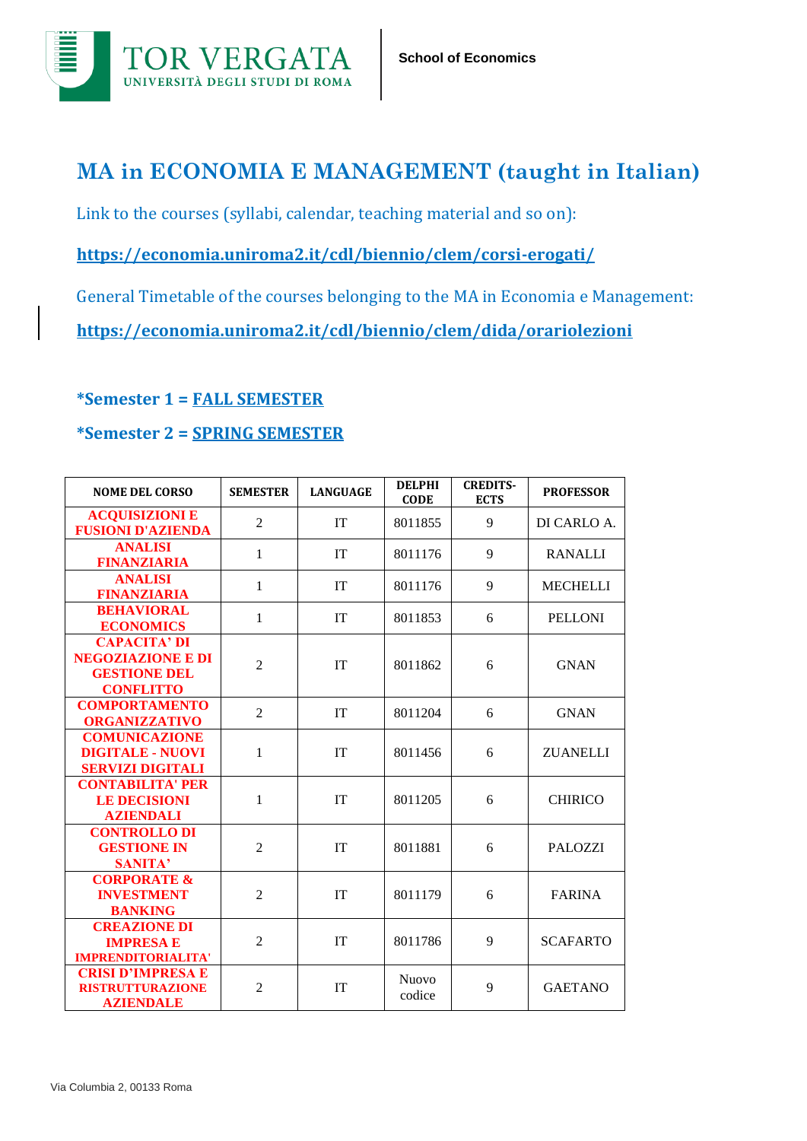

## **MA in ECONOMIA E MANAGEMENT (taught in Italian)**

Link to the courses (syllabi, calendar, teaching material and so on):

**https://economia.uniroma2.it/cdl/biennio/clem/corsi-erogati/**

General Timetable of the courses belonging to the MA in Economia e Management:

**<https://economia.uniroma2.it/cdl/biennio/clem/dida/orariolezioni>**

## **\*Semester 1 = FALL SEMESTER**

## **\*Semester 2 = SPRING SEMESTER**

| <b>NOME DEL CORSO</b>                                                                      | <b>SEMESTER</b> | <b>LANGUAGE</b> | <b>DELPHI</b><br><b>CODE</b> | <b>CREDITS-</b><br><b>ECTS</b> | <b>PROFESSOR</b> |
|--------------------------------------------------------------------------------------------|-----------------|-----------------|------------------------------|--------------------------------|------------------|
| <b>ACQUISIZIONI E</b><br><b>FUSIONI D'AZIENDA</b>                                          | $\overline{2}$  | <b>IT</b>       | 8011855                      | 9                              | DI CARLO A.      |
| <b>ANALISI</b><br><b>FINANZIARIA</b>                                                       | $\mathbf 1$     | IT              | 8011176                      | 9                              | <b>RANALLI</b>   |
| <b>ANALISI</b><br><b>FINANZIARIA</b>                                                       | 1               | <b>IT</b>       | 8011176                      | 9                              | <b>MECHELLI</b>  |
| <b>BEHAVIORAL</b><br><b>ECONOMICS</b>                                                      | $\mathbf 1$     | <b>IT</b>       | 8011853                      | 6                              | <b>PELLONI</b>   |
| <b>CAPACITA' DI</b><br><b>NEGOZIAZIONE E DI</b><br><b>GESTIONE DEL</b><br><b>CONFLITTO</b> | $\overline{2}$  | IT              | 8011862                      | 6                              | <b>GNAN</b>      |
| <b>COMPORTAMENTO</b><br><b>ORGANIZZATIVO</b>                                               | $\overline{2}$  | IT              | 8011204                      | 6                              | <b>GNAN</b>      |
| <b>COMUNICAZIONE</b><br><b>DIGITALE - NUOVI</b><br><b>SERVIZI DIGITALI</b>                 | 1               | IT              | 8011456                      | 6                              | <b>ZUANELLI</b>  |
| <b>CONTABILITA' PER</b><br><b>LE DECISIONI</b><br><b>AZIENDALI</b>                         | 1               | IT              | 8011205                      | 6                              | <b>CHIRICO</b>   |
| <b>CONTROLLO DI</b><br><b>GESTIONE IN</b><br><b>SANITA'</b>                                | $\overline{2}$  | <b>IT</b>       | 8011881                      | 6                              | <b>PALOZZI</b>   |
| <b>CORPORATE &amp;</b><br><b>INVESTMENT</b><br><b>BANKING</b>                              | $\overline{2}$  | IT              | 8011179                      | 6                              | <b>FARINA</b>    |
| <b>CREAZIONE DI</b><br><b>IMPRESA E</b><br><b>IMPRENDITORIALITA'</b>                       | $\overline{2}$  | <b>IT</b>       | 8011786                      | 9                              | <b>SCAFARTO</b>  |
| <b>CRISI D'IMPRESA E</b><br><b>RISTRUTTURAZIONE</b><br><b>AZIENDALE</b>                    | $\overline{2}$  | IT              | <b>Nuovo</b><br>codice       | 9                              | <b>GAETANO</b>   |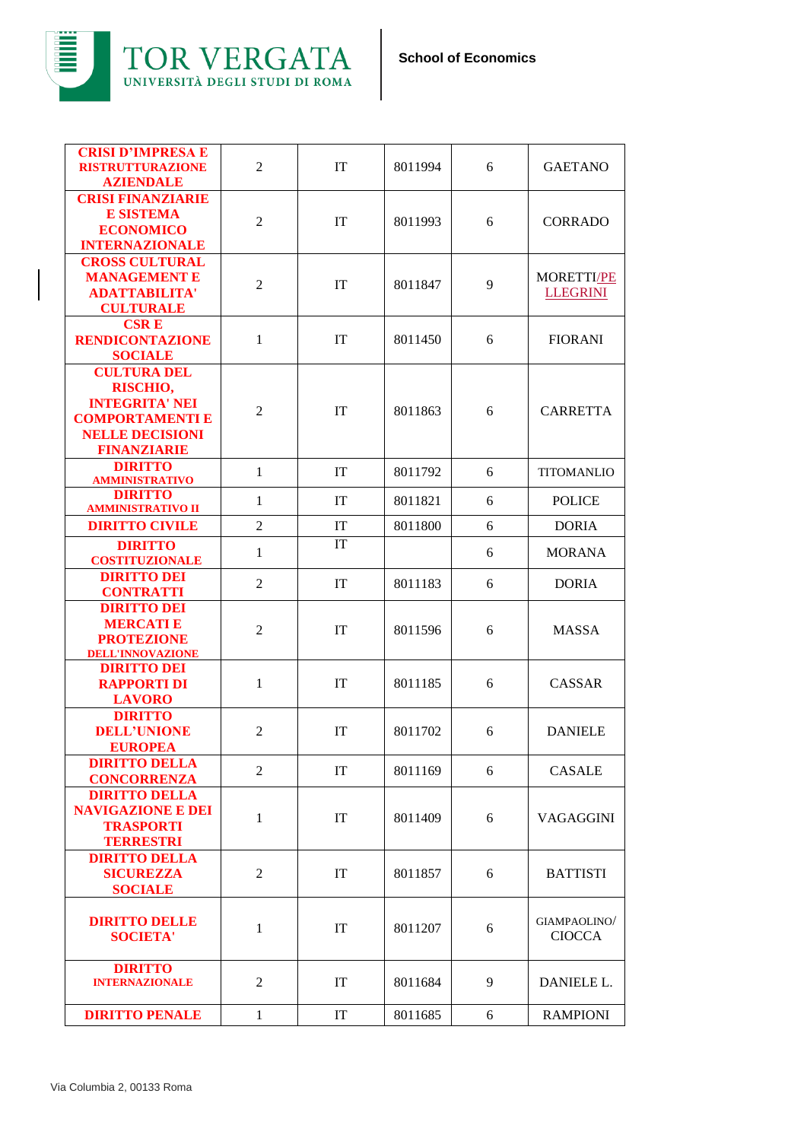



| <b>CRISI FINANZIARIE</b><br><b>E SISTEMA</b><br>$\mathfrak{2}$<br>IT<br>8011993<br><b>CORRADO</b><br>6<br><b>ECONOMICO</b><br><b>INTERNAZIONALE</b><br><b>CROSS CULTURAL</b><br><b>MANAGEMENT E</b><br>MORETTI/PE<br>$\overline{2}$<br>IT<br>9<br>8011847<br><b>ADATTABILITA'</b><br><b>LLEGRINI</b><br><b>CULTURALE</b><br><b>CSRE</b><br>IT<br><b>RENDICONTAZIONE</b><br>$\mathbf{1}$<br>8011450<br>6<br><b>FIORANI</b><br><b>SOCIALE</b><br><b>CULTURA DEL</b><br>RISCHIO,<br><b>INTEGRITA' NEI</b><br>IT<br>8011863<br><b>CARRETTA</b><br>2<br>6<br><b>COMPORTAMENTI E</b><br><b>NELLE DECISIONI</b><br><b>FINANZIARIE</b><br><b>DIRITTO</b><br>$\mathbf{1}$<br><b>IT</b><br>8011792<br><b>TITOMANLIO</b><br>6<br><b>AMMINISTRATIVO</b><br><b>DIRITTO</b><br><b>POLICE</b><br>$\mathbf{1}$<br>IT<br>8011821<br>6<br><b>AMMINISTRATIVO II</b><br>$\overline{2}$<br>IT<br>8011800<br>6<br><b>DORIA</b><br><b>DIRITTO CIVILE</b><br>IT<br><b>DIRITTO</b><br>$\mathbf{1}$<br>6<br><b>MORANA</b><br><b>COSTITUZIONALE</b><br><b>DIRITTO DEI</b><br>$\overline{2}$<br>IT<br>8011183<br>6<br><b>DORIA</b><br><b>CONTRATTI</b><br><b>DIRITTO DEI</b><br><b>MERCATIE</b><br>$\overline{2}$<br>IT<br>8011596<br>6<br>MASSA<br><b>PROTEZIONE</b><br><b>DELL'INNOVAZIONE</b><br><b>DIRITTO DEI</b><br><b>RAPPORTI DI</b><br>$\mathbf{1}$<br><b>IT</b><br>8011185<br>6<br><b>CASSAR</b><br><b>LAVORO</b><br><b>DIRITTO</b><br><b>DELL'UNIONE</b><br>2<br>IT<br>8011702<br>6<br><b>DANIELE</b><br><b>EUROPEA</b><br><b>DIRITTO DELLA</b><br>$\overline{2}$<br>IT<br>8011169<br><b>CASALE</b><br>6<br><b>CONCORRENZA</b><br><b>DIRITTO DELLA</b><br><b>NAVIGAZIONE E DEI</b><br>$\mathbf{1}$<br>IT<br>8011409<br>6<br>VAGAGGINI<br><b>TRASPORTI</b><br><b>TERRESTRI</b><br><b>DIRITTO DELLA</b><br><b>SICUREZZA</b><br>2<br>IT<br>8011857<br>6<br><b>BATTISTI</b><br><b>SOCIALE</b><br><b>DIRITTO DELLE</b><br>GIAMPAOLINO/<br>$\mathbf{1}$<br>IT<br>8011207<br>6<br><b>SOCIETA'</b><br><b>CIOCCA</b><br><b>DIRITTO</b><br>IT<br>9<br><b>INTERNAZIONALE</b><br>2<br>8011684<br>DANIELE L.<br>IT<br>8011685<br><b>RAMPIONI</b><br>1<br>6<br><b>DIRITTO PENALE</b> | <b>CRISI D'IMPRESA E</b><br><b>RISTRUTTURAZIONE</b><br><b>AZIENDALE</b> | 2 | IT | 8011994 | 6 | <b>GAETANO</b> |
|-------------------------------------------------------------------------------------------------------------------------------------------------------------------------------------------------------------------------------------------------------------------------------------------------------------------------------------------------------------------------------------------------------------------------------------------------------------------------------------------------------------------------------------------------------------------------------------------------------------------------------------------------------------------------------------------------------------------------------------------------------------------------------------------------------------------------------------------------------------------------------------------------------------------------------------------------------------------------------------------------------------------------------------------------------------------------------------------------------------------------------------------------------------------------------------------------------------------------------------------------------------------------------------------------------------------------------------------------------------------------------------------------------------------------------------------------------------------------------------------------------------------------------------------------------------------------------------------------------------------------------------------------------------------------------------------------------------------------------------------------------------------------------------------------------------------------------------------------------------------------------------------------------------------------------------------------------------------------------------------------------------------------------------------------------------------------------------------------------------------------------------------------------|-------------------------------------------------------------------------|---|----|---------|---|----------------|
|                                                                                                                                                                                                                                                                                                                                                                                                                                                                                                                                                                                                                                                                                                                                                                                                                                                                                                                                                                                                                                                                                                                                                                                                                                                                                                                                                                                                                                                                                                                                                                                                                                                                                                                                                                                                                                                                                                                                                                                                                                                                                                                                                       |                                                                         |   |    |         |   |                |
|                                                                                                                                                                                                                                                                                                                                                                                                                                                                                                                                                                                                                                                                                                                                                                                                                                                                                                                                                                                                                                                                                                                                                                                                                                                                                                                                                                                                                                                                                                                                                                                                                                                                                                                                                                                                                                                                                                                                                                                                                                                                                                                                                       |                                                                         |   |    |         |   |                |
|                                                                                                                                                                                                                                                                                                                                                                                                                                                                                                                                                                                                                                                                                                                                                                                                                                                                                                                                                                                                                                                                                                                                                                                                                                                                                                                                                                                                                                                                                                                                                                                                                                                                                                                                                                                                                                                                                                                                                                                                                                                                                                                                                       |                                                                         |   |    |         |   |                |
|                                                                                                                                                                                                                                                                                                                                                                                                                                                                                                                                                                                                                                                                                                                                                                                                                                                                                                                                                                                                                                                                                                                                                                                                                                                                                                                                                                                                                                                                                                                                                                                                                                                                                                                                                                                                                                                                                                                                                                                                                                                                                                                                                       |                                                                         |   |    |         |   |                |
|                                                                                                                                                                                                                                                                                                                                                                                                                                                                                                                                                                                                                                                                                                                                                                                                                                                                                                                                                                                                                                                                                                                                                                                                                                                                                                                                                                                                                                                                                                                                                                                                                                                                                                                                                                                                                                                                                                                                                                                                                                                                                                                                                       |                                                                         |   |    |         |   |                |
|                                                                                                                                                                                                                                                                                                                                                                                                                                                                                                                                                                                                                                                                                                                                                                                                                                                                                                                                                                                                                                                                                                                                                                                                                                                                                                                                                                                                                                                                                                                                                                                                                                                                                                                                                                                                                                                                                                                                                                                                                                                                                                                                                       |                                                                         |   |    |         |   |                |
|                                                                                                                                                                                                                                                                                                                                                                                                                                                                                                                                                                                                                                                                                                                                                                                                                                                                                                                                                                                                                                                                                                                                                                                                                                                                                                                                                                                                                                                                                                                                                                                                                                                                                                                                                                                                                                                                                                                                                                                                                                                                                                                                                       |                                                                         |   |    |         |   |                |
|                                                                                                                                                                                                                                                                                                                                                                                                                                                                                                                                                                                                                                                                                                                                                                                                                                                                                                                                                                                                                                                                                                                                                                                                                                                                                                                                                                                                                                                                                                                                                                                                                                                                                                                                                                                                                                                                                                                                                                                                                                                                                                                                                       |                                                                         |   |    |         |   |                |
|                                                                                                                                                                                                                                                                                                                                                                                                                                                                                                                                                                                                                                                                                                                                                                                                                                                                                                                                                                                                                                                                                                                                                                                                                                                                                                                                                                                                                                                                                                                                                                                                                                                                                                                                                                                                                                                                                                                                                                                                                                                                                                                                                       |                                                                         |   |    |         |   |                |
|                                                                                                                                                                                                                                                                                                                                                                                                                                                                                                                                                                                                                                                                                                                                                                                                                                                                                                                                                                                                                                                                                                                                                                                                                                                                                                                                                                                                                                                                                                                                                                                                                                                                                                                                                                                                                                                                                                                                                                                                                                                                                                                                                       |                                                                         |   |    |         |   |                |
|                                                                                                                                                                                                                                                                                                                                                                                                                                                                                                                                                                                                                                                                                                                                                                                                                                                                                                                                                                                                                                                                                                                                                                                                                                                                                                                                                                                                                                                                                                                                                                                                                                                                                                                                                                                                                                                                                                                                                                                                                                                                                                                                                       |                                                                         |   |    |         |   |                |
|                                                                                                                                                                                                                                                                                                                                                                                                                                                                                                                                                                                                                                                                                                                                                                                                                                                                                                                                                                                                                                                                                                                                                                                                                                                                                                                                                                                                                                                                                                                                                                                                                                                                                                                                                                                                                                                                                                                                                                                                                                                                                                                                                       |                                                                         |   |    |         |   |                |
|                                                                                                                                                                                                                                                                                                                                                                                                                                                                                                                                                                                                                                                                                                                                                                                                                                                                                                                                                                                                                                                                                                                                                                                                                                                                                                                                                                                                                                                                                                                                                                                                                                                                                                                                                                                                                                                                                                                                                                                                                                                                                                                                                       |                                                                         |   |    |         |   |                |
|                                                                                                                                                                                                                                                                                                                                                                                                                                                                                                                                                                                                                                                                                                                                                                                                                                                                                                                                                                                                                                                                                                                                                                                                                                                                                                                                                                                                                                                                                                                                                                                                                                                                                                                                                                                                                                                                                                                                                                                                                                                                                                                                                       |                                                                         |   |    |         |   |                |
|                                                                                                                                                                                                                                                                                                                                                                                                                                                                                                                                                                                                                                                                                                                                                                                                                                                                                                                                                                                                                                                                                                                                                                                                                                                                                                                                                                                                                                                                                                                                                                                                                                                                                                                                                                                                                                                                                                                                                                                                                                                                                                                                                       |                                                                         |   |    |         |   |                |
|                                                                                                                                                                                                                                                                                                                                                                                                                                                                                                                                                                                                                                                                                                                                                                                                                                                                                                                                                                                                                                                                                                                                                                                                                                                                                                                                                                                                                                                                                                                                                                                                                                                                                                                                                                                                                                                                                                                                                                                                                                                                                                                                                       |                                                                         |   |    |         |   |                |
|                                                                                                                                                                                                                                                                                                                                                                                                                                                                                                                                                                                                                                                                                                                                                                                                                                                                                                                                                                                                                                                                                                                                                                                                                                                                                                                                                                                                                                                                                                                                                                                                                                                                                                                                                                                                                                                                                                                                                                                                                                                                                                                                                       |                                                                         |   |    |         |   |                |
|                                                                                                                                                                                                                                                                                                                                                                                                                                                                                                                                                                                                                                                                                                                                                                                                                                                                                                                                                                                                                                                                                                                                                                                                                                                                                                                                                                                                                                                                                                                                                                                                                                                                                                                                                                                                                                                                                                                                                                                                                                                                                                                                                       |                                                                         |   |    |         |   |                |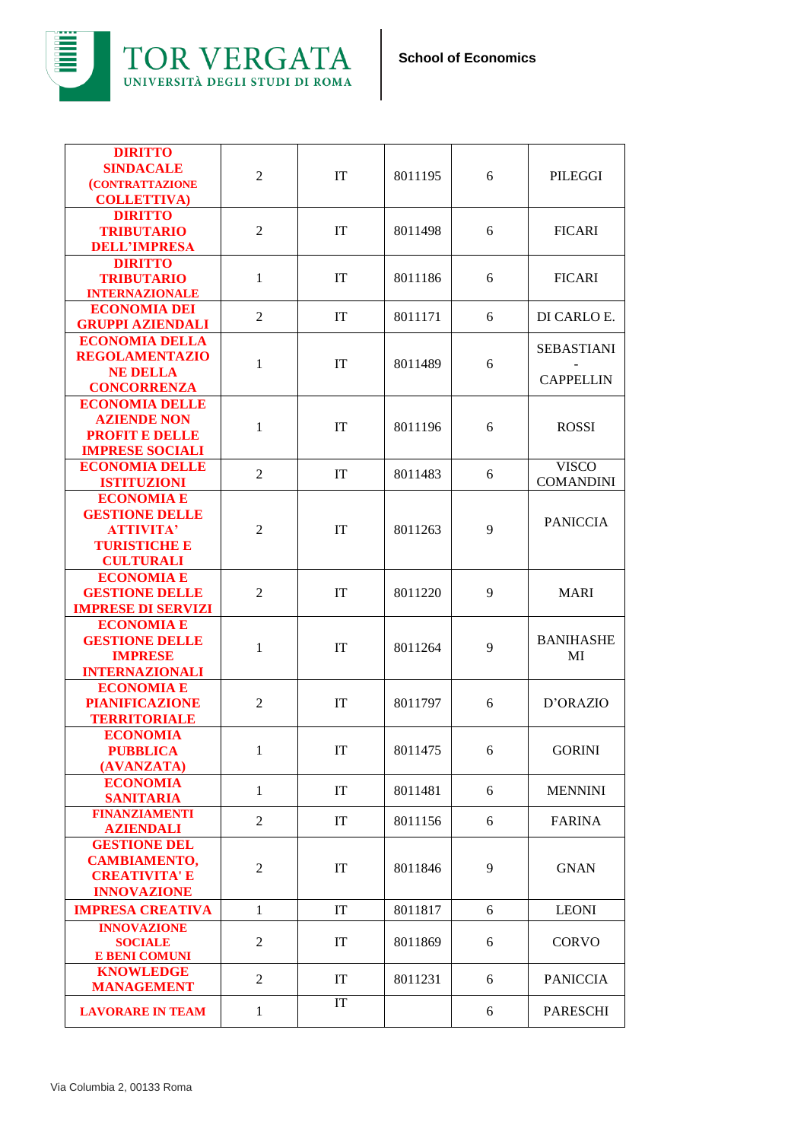

| <b>DIRITTO</b><br><b>SINDACALE</b><br><b>(CONTRATTAZIONE</b><br><b>COLLETTIVA)</b>                        | $\overline{2}$ | IT        | 8011195 | 6 | PILEGGI                               |
|-----------------------------------------------------------------------------------------------------------|----------------|-----------|---------|---|---------------------------------------|
| <b>DIRITTO</b><br><b>TRIBUTARIO</b><br><b>DELL'IMPRESA</b>                                                | 2              | IT        | 8011498 | 6 | <b>FICARI</b>                         |
| <b>DIRITTO</b><br><b>TRIBUTARIO</b><br><b>INTERNAZIONALE</b>                                              | $\mathbf{1}$   | <b>IT</b> | 8011186 | 6 | <b>FICARI</b>                         |
| <b>ECONOMIA DEI</b><br><b>GRUPPI AZIENDALI</b>                                                            | 2              | IT        | 8011171 | 6 | DI CARLO E.                           |
| <b>ECONOMIA DELLA</b><br><b>REGOLAMENTAZIO</b><br><b>NE DELLA</b><br><b>CONCORRENZA</b>                   | 1              | IT        | 8011489 | 6 | <b>SEBASTIANI</b><br><b>CAPPELLIN</b> |
| <b>ECONOMIA DELLE</b><br><b>AZIENDE NON</b><br><b>PROFIT E DELLE</b><br><b>IMPRESE SOCIALI</b>            | 1              | IT        | 8011196 | 6 | <b>ROSSI</b>                          |
| <b>ECONOMIA DELLE</b><br><b>ISTITUZIONI</b>                                                               | $\overline{2}$ | IT        | 8011483 | 6 | <b>VISCO</b><br><b>COMANDINI</b>      |
| <b>ECONOMIA E</b><br><b>GESTIONE DELLE</b><br><b>ATTIVITA'</b><br><b>TURISTICHE E</b><br><b>CULTURALI</b> | 2              | IT        | 8011263 | 9 | <b>PANICCIA</b>                       |
| <b>ECONOMIA E</b><br><b>GESTIONE DELLE</b><br><b>IMPRESE DI SERVIZI</b>                                   | 2              | IT        | 8011220 | 9 | <b>MARI</b>                           |
| <b>ECONOMIA E</b><br><b>GESTIONE DELLE</b><br><b>IMPRESE</b><br><b>INTERNAZIONALI</b>                     | 1              | IT        | 8011264 | 9 | <b>BANIHASHE</b><br>MI                |
| <b>ECONOMIA E</b><br><b>PIANIFICAZIONE</b><br><b>TERRITORIALE</b>                                         | 2              | IT        | 8011797 | 6 | D'ORAZIO                              |
| <b>ECONOMIA</b><br><b>PUBBLICA</b><br>(AVANZATA)                                                          | 1              | IT        | 8011475 | 6 | <b>GORINI</b>                         |
| <b>ECONOMIA</b><br><b>SANITARIA</b>                                                                       | $\mathbf{1}$   | IT        | 8011481 | 6 | <b>MENNINI</b>                        |
| <b>FINANZIAMENTI</b><br><b>AZIENDALI</b>                                                                  | $\overline{2}$ | IT        | 8011156 | 6 | <b>FARINA</b>                         |
| <b>GESTIONE DEL</b><br><b>CAMBIAMENTO,</b><br><b>CREATIVITA' E</b><br><b>INNOVAZIONE</b>                  | 2              | IT        | 8011846 | 9 | <b>GNAN</b>                           |
| <b>IMPRESA CREATIVA</b>                                                                                   | $\mathbf{1}$   | IT        | 8011817 | 6 | <b>LEONI</b>                          |
| <b>INNOVAZIONE</b><br><b>SOCIALE</b><br><b>E BENI COMUNI</b>                                              | 2              | IT        | 8011869 | 6 | <b>CORVO</b>                          |
| <b>KNOWLEDGE</b><br><b>MANAGEMENT</b>                                                                     | 2              | IT        | 8011231 | 6 | <b>PANICCIA</b>                       |
| <b>LAVORARE IN TEAM</b>                                                                                   | $\mathbf{1}$   | IT        |         | 6 | <b>PARESCHI</b>                       |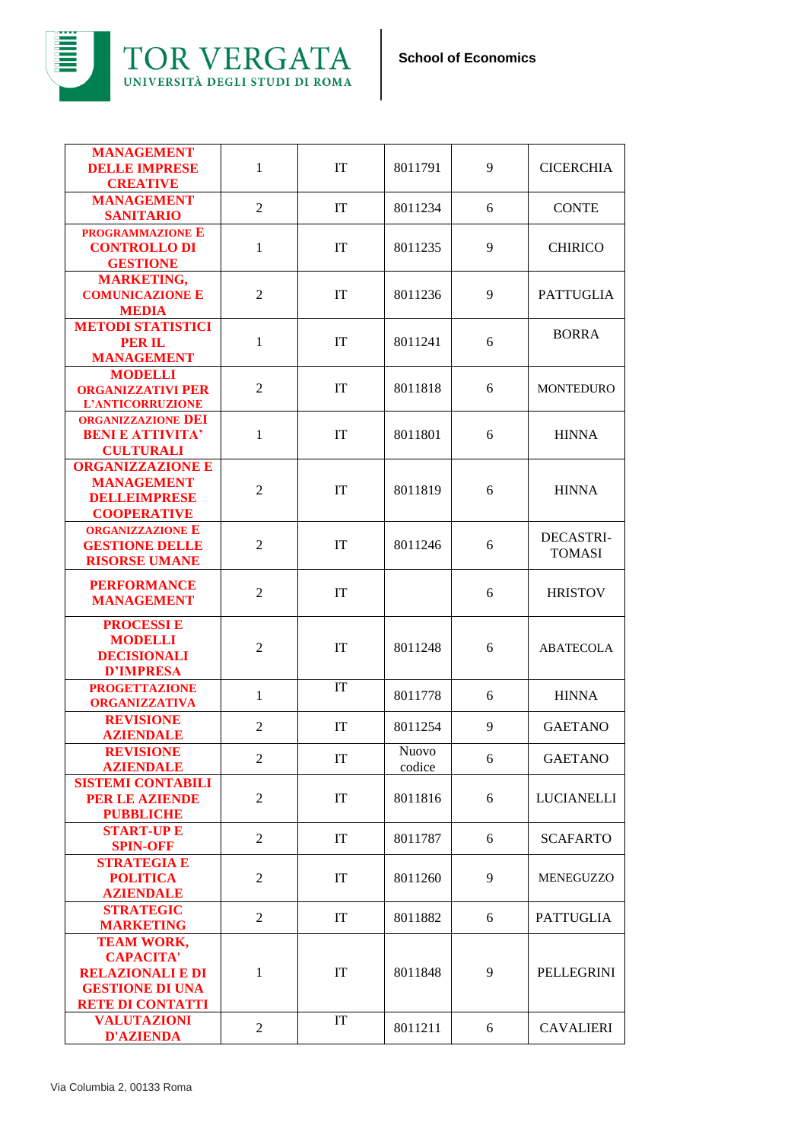

| <b>MANAGEMENT</b><br><b>DELLE IMPRESE</b><br><b>CREATIVE</b>                                                          | $\mathbf{1}$   | IT        | 8011791                | 9 | <b>CICERCHIA</b>                  |
|-----------------------------------------------------------------------------------------------------------------------|----------------|-----------|------------------------|---|-----------------------------------|
| <b>MANAGEMENT</b><br><b>SANITARIO</b>                                                                                 | $\overline{2}$ | <b>IT</b> | 8011234                | 6 | <b>CONTE</b>                      |
| <b>PROGRAMMAZIONE E</b><br><b>CONTROLLO DI</b><br><b>GESTIONE</b>                                                     | $\mathbf{1}$   | IT        | 8011235                | 9 | <b>CHIRICO</b>                    |
| <b>MARKETING,</b><br><b>COMUNICAZIONE E</b><br><b>MEDIA</b>                                                           | $\overline{c}$ | IT        | 8011236                | 9 | <b>PATTUGLIA</b>                  |
| <b>METODI STATISTICI</b><br><b>PER IL</b><br><b>MANAGEMENT</b>                                                        | 1              | IT        | 8011241                | 6 | <b>BORRA</b>                      |
| <b>MODELLI</b><br><b>ORGANIZZATIVI PER</b><br>L'ANTICORRUZIONE                                                        | $\overline{2}$ | <b>IT</b> | 8011818                | 6 | <b>MONTEDURO</b>                  |
| <b>ORGANIZZAZIONE DEI</b><br><b>BENI E ATTIVITA'</b><br><b>CULTURALI</b>                                              | $\mathbf{1}$   | IT        | 8011801                | 6 | <b>HINNA</b>                      |
| <b>ORGANIZZAZIONE E</b><br><b>MANAGEMENT</b><br><b>DELLEIMPRESE</b><br><b>COOPERATIVE</b>                             | $\overline{2}$ | IT        | 8011819                | 6 | <b>HINNA</b>                      |
| <b>ORGANIZZAZIONE E</b><br><b>GESTIONE DELLE</b><br><b>RISORSE UMANE</b>                                              | $\overline{2}$ | IT        | 8011246                | 6 | <b>DECASTRI-</b><br><b>TOMASI</b> |
| <b>PERFORMANCE</b><br><b>MANAGEMENT</b>                                                                               | $\overline{2}$ | IT        |                        | 6 | <b>HRISTOV</b>                    |
| <b>PROCESSIE</b><br><b>MODELLI</b><br><b>DECISIONALI</b><br><b>D'IMPRESA</b>                                          | $\overline{2}$ | IT        | 8011248                | 6 | <b>ABATECOLA</b>                  |
| <b>PROGETTAZIONE</b><br><b>ORGANIZZATIVA</b>                                                                          | $\mathbf{1}$   | IT        | 8011778                | 6 | <b>HINNA</b>                      |
| <b>REVISIONE</b><br><b>AZIENDALE</b>                                                                                  | $\overline{2}$ | IT        | 8011254                | 9 | <b>GAETANO</b>                    |
| <b>REVISIONE</b><br><b>AZIENDALE</b>                                                                                  | 2              | IT        | <b>Nuovo</b><br>codice | 6 | <b>GAETANO</b>                    |
| <b>SISTEMI CONTABILI</b><br><b>PER LE AZIENDE</b><br><b>PUBBLICHE</b>                                                 | $\overline{2}$ | IT        | 8011816                | 6 | <b>LUCIANELLI</b>                 |
| <b>START-UP E</b><br><b>SPIN-OFF</b>                                                                                  | $\overline{2}$ | IT        | 8011787                | 6 | <b>SCAFARTO</b>                   |
| <b>STRATEGIA E</b><br><b>POLITICA</b><br><b>AZIENDALE</b>                                                             | 2              | IT        | 8011260                | 9 | <b>MENEGUZZO</b>                  |
| <b>STRATEGIC</b><br><b>MARKETING</b>                                                                                  | $\overline{2}$ | IT        | 8011882                | 6 | <b>PATTUGLIA</b>                  |
| <b>TEAM WORK,</b><br><b>CAPACITA'</b><br><b>RELAZIONALI E DI</b><br><b>GESTIONE DI UNA</b><br><b>RETE DI CONTATTI</b> | 1              | IT        | 8011848                | 9 | PELLEGRINI                        |
| <b>VALUTAZIONI</b><br><b>D'AZIENDA</b>                                                                                | $\overline{2}$ | IT        | 8011211                | 6 | <b>CAVALIERI</b>                  |